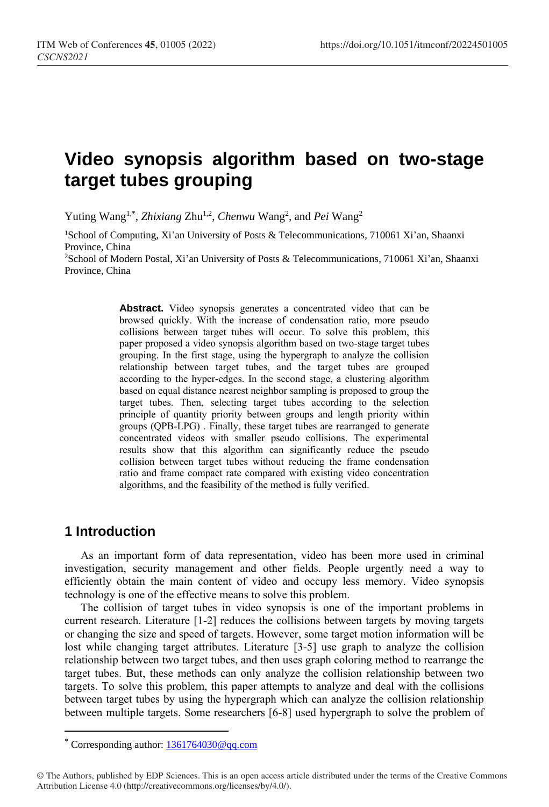# **Video synopsis algorithm based on two-stage target tubes grouping**

Yuting Wang<sup>1,\*</sup>, *Zhixiang Zhu<sup>1,2</sup>, Chenwu* Wang<sup>2</sup>, and *Pei* Wang<sup>2</sup>

<sup>1</sup>School of Computing, Xi'an University of Posts & Telecommunications, 710061 Xi'an, Shaanxi Province, China

<sup>2</sup>School of Modern Postal, Xi'an University of Posts & Telecommunications, 710061 Xi'an, Shaanxi Province, China

> Abstract. Video synopsis generates a concentrated video that can be browsed quickly. With the increase of condensation ratio, more pseudo collisions between target tubes will occur. To solve this problem, this paper proposed a video synopsis algorithm based on two-stage target tubes grouping. In the first stage, using the hypergraph to analyze the collision relationship between target tubes, and the target tubes are grouped according to the hyper-edges. In the second stage, a clustering algorithm based on equal distance nearest neighbor sampling is proposed to group the target tubes. Then, selecting target tubes according to the selection principle of quantity priority between groups and length priority within groups (QPB-LPG) . Finally, these target tubes are rearranged to generate concentrated videos with smaller pseudo collisions. The experimental results show that this algorithm can significantly reduce the pseudo collision between target tubes without reducing the frame condensation ratio and frame compact rate compared with existing video concentration algorithms, and the feasibility of the method is fully verified.

# **1 Introduction**

 $\overline{a}$ 

As an important form of data representation, video has been more used in criminal investigation, security management and other fields. People urgently need a way to efficiently obtain the main content of video and occupy less memory. Video synopsis technology is one of the effective means to solve this problem.

The collision of target tubes in video synopsis is one of the important problems in current research. Literature [1-2] reduces the collisions between targets by moving targets or changing the size and speed of targets. However, some target motion information will be lost while changing target attributes. Literature [3-5] use graph to analyze the collision relationship between two target tubes, and then uses graph coloring method to rearrange the target tubes. But, these methods can only analyze the collision relationship between two targets. To solve this problem, this paper attempts to analyze and deal with the collisions between target tubes by using the hypergraph which can analyze the collision relationship between multiple targets. Some researchers [6-8] used hypergraph to solve the problem of

<sup>\*</sup> Corresponding author: [1361764030@qq.com](mailto:1361764030@qq.com)

<sup>©</sup> The Authors, published by EDP Sciences. This is an open access article distributed under the terms of the Creative Commons Attribution License 4.0 (http://creativecommons.org/licenses/by/4.0/).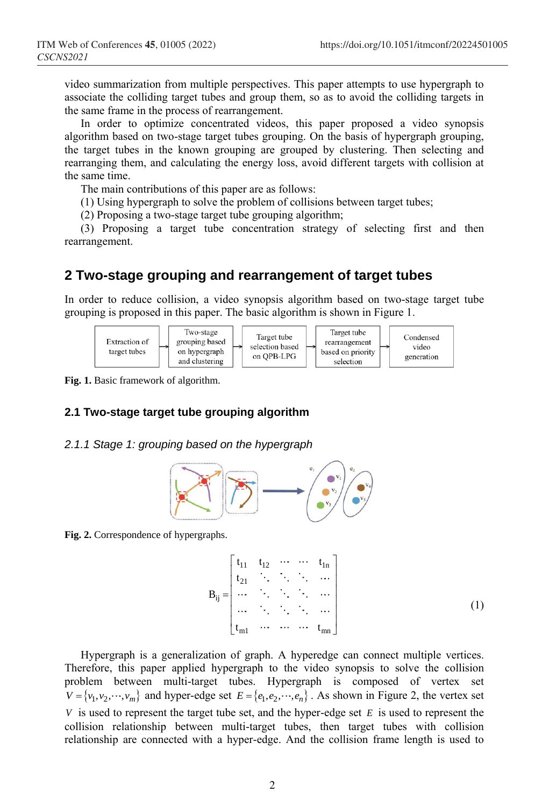video summarization from multiple perspectives. This paper attempts to use hypergraph to associate the colliding target tubes and group them, so as to avoid the colliding targets in the same frame in the process of rearrangement.

In order to optimize concentrated videos, this paper proposed a video synopsis algorithm based on two-stage target tubes grouping. On the basis of hypergraph grouping, the target tubes in the known grouping are grouped by clustering. Then selecting and rearranging them, and calculating the energy loss, avoid different targets with collision at the same time.

The main contributions of this paper are as follows:

(1) Using hypergraph to solve the problem of collisions between target tubes;

(2) Proposing a two-stage target tube grouping algorithm;

(3) Proposing a target tube concentration strategy of selecting first and then rearrangement.

# **2 Two-stage grouping and rearrangement of target tubes**

In order to reduce collision, a video synopsis algorithm based on two-stage target tube grouping is proposed in this paper. The basic algorithm is shown in Figure 1.



**Fig. 1.** Basic framework of algorithm.

### **2.1 Two-stage target tube grouping algorithm**

#### *2.1.1 Stage 1: grouping based on the hypergraph*



**Fig. 2.** Correspondence of hypergraphs.

$$
B_{ij} = \begin{bmatrix} t_{11} & t_{12} & \cdots & \cdots & t_{1n} \\ t_{21} & \ddots & \ddots & \ddots & \cdots \\ \cdots & \ddots & \ddots & \ddots & \cdots \\ \cdots & \cdots & \cdots & \cdots & \cdots \\ t_{m1} & \cdots & \cdots & \cdots & t_{mn} \end{bmatrix}
$$
(1)

Hypergraph is a generalization of graph. A hyperedge can connect multiple vertices. Therefore, this paper applied hypergraph to the video synopsis to solve the collision problem between multi-target tubes. Hypergraph is composed of vertex set  $V = \{v_1, v_2, \dots, v_m\}$  and hyper-edge set  $E = \{e_1, e_2, \dots, e_n\}$ . As shown in Figure 2, the vertex set *V* is used to represent the target tube set, and the hyper-edge set E is used to represent the collision relationship between multi-target tubes, then target tubes with collision relationship are connected with a hyper-edge. And the collision frame length is used to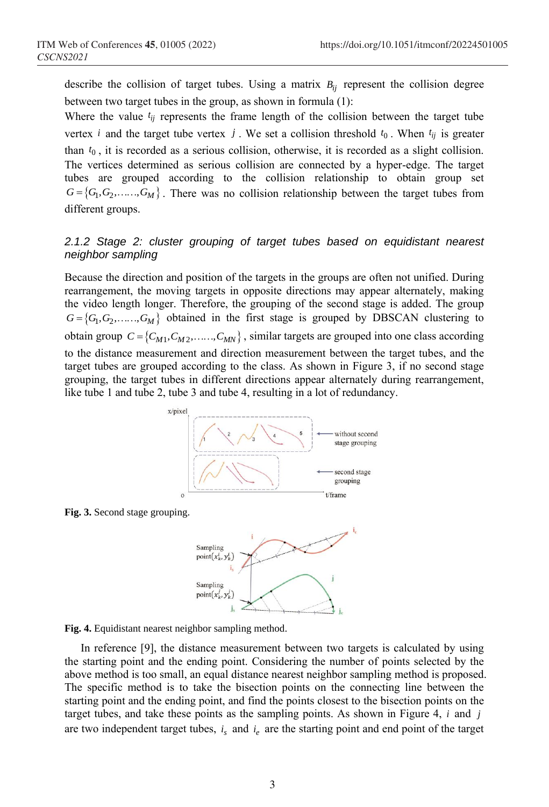describe the collision of target tubes. Using a matrix  $B_{ij}$  represent the collision degree between two target tubes in the group, as shown in formula (1):

Where the value  $t_{ij}$  represents the frame length of the collision between the target tube vertex *i* and the target tube vertex *j*. We set a collision threshold  $t_0$ . When  $t_{ij}$  is greater than  $t_0$ , it is recorded as a serious collision, otherwise, it is recorded as a slight collision. The vertices determined as serious collision are connected by a hyper-edge. The target tubes are grouped according to the collision relationship to obtain group set  $G = \{G_1, G_2, \ldots, G_M\}$ . There was no collision relationship between the target tubes from different groups.

### *2.1.2 Stage 2: cluster grouping of target tubes based on equidistant nearest neighbor sampling*

Because the direction and position of the targets in the groups are often not unified. During rearrangement, the moving targets in opposite directions may appear alternately, making the video length longer. Therefore, the grouping of the second stage is added. The group  $G = \{G_1, G_2, \ldots, G_M\}$  obtained in the first stage is grouped by DBSCAN clustering to obtain group  $C = \{C_{M1}, C_{M2}, \ldots, C_{MN}\}\$ , similar targets are grouped into one class according to the distance measurement and direction measurement between the target tubes, and the target tubes are grouped according to the class. As shown in Figure 3, if no second stage grouping, the target tubes in different directions appear alternately during rearrangement, like tube 1 and tube 2, tube 3 and tube 4, resulting in a lot of redundancy.



**Fig. 3.** Second stage grouping.





In reference [9], the distance measurement between two targets is calculated by using the starting point and the ending point. Considering the number of points selected by the above method is too small, an equal distance nearest neighbor sampling method is proposed. The specific method is to take the bisection points on the connecting line between the starting point and the ending point, and find the points closest to the bisection points on the target tubes, and take these points as the sampling points. As shown in Figure 4,  $i$  and  $j$ are two independent target tubes,  $i_s$  and  $i_e$  are the starting point and end point of the target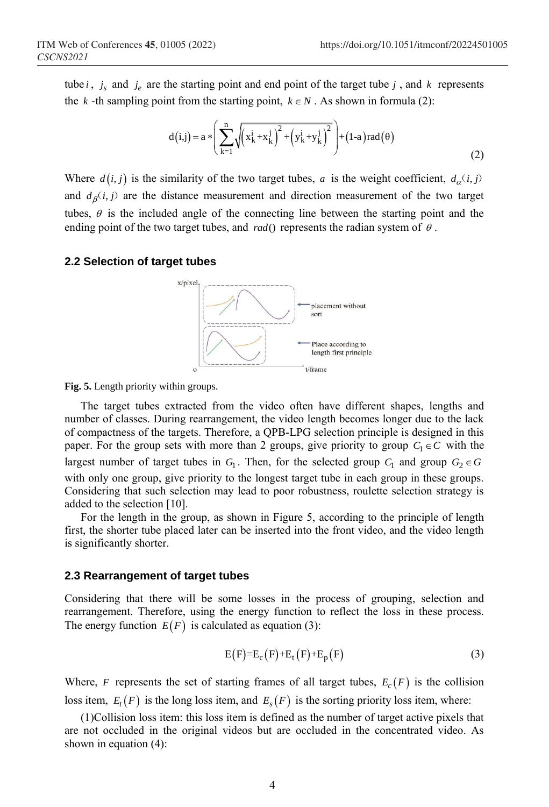tube *i*,  $j_s$  and  $j_e$  are the starting point and end point of the target tube *j*, and *k* represents the  $k$ -th sampling point from the starting point,  $k \in N$ . As shown in formula (2):

d(i,j) = 
$$
a * \left( \sum_{k=1}^{n} \sqrt{(x_k^i + x_k^j)^2 + (y_k^i + y_k^j)^2} \right) + (1-a) \text{rad}(\theta)
$$
 (2)

Where  $d(i, j)$  is the similarity of the two target tubes, a is the weight coefficient,  $d_{\alpha}(i, j)$ and  $d_{\beta}(i, j)$  are the distance measurement and direction measurement of the two target tubes,  $\theta$  is the included angle of the connecting line between the starting point and the ending point of the two target tubes, and  $rad()$  represents the radian system of  $\theta$ .

#### **2.2 Selection of target tubes**



**Fig. 5.** Length priority within groups.

The target tubes extracted from the video often have different shapes, lengths and number of classes. During rearrangement, the video length becomes longer due to the lack of compactness of the targets. Therefore, a QPB-LPG selection principle is designed in this paper. For the group sets with more than 2 groups, give priority to group  $C_1 \in C$  with the largest number of target tubes in  $G_1$ . Then, for the selected group  $C_1$  and group  $G_2 \in G$ with only one group, give priority to the longest target tube in each group in these groups. Considering that such selection may lead to poor robustness, roulette selection strategy is added to the selection [10].

For the length in the group, as shown in Figure 5, according to the principle of length first, the shorter tube placed later can be inserted into the front video, and the video length is significantly shorter.

#### **2.3 Rearrangement of target tubes**

Considering that there will be some losses in the process of grouping, selection and rearrangement. Therefore, using the energy function to reflect the loss in these process. The energy function  $E(F)$  is calculated as equation (3):

$$
E(F)=E_c(F)+E_t(F)+E_p(F)
$$
\n(3)

Where, *F* represents the set of starting frames of all target tubes,  $E_c(F)$  is the collision loss item,  $E_t(F)$  is the long loss item, and  $E_s(F)$  is the sorting priority loss item, where:

(1)Collision loss item: this loss item is defined as the number of target active pixels that are not occluded in the original videos but are occluded in the concentrated video. As shown in equation (4):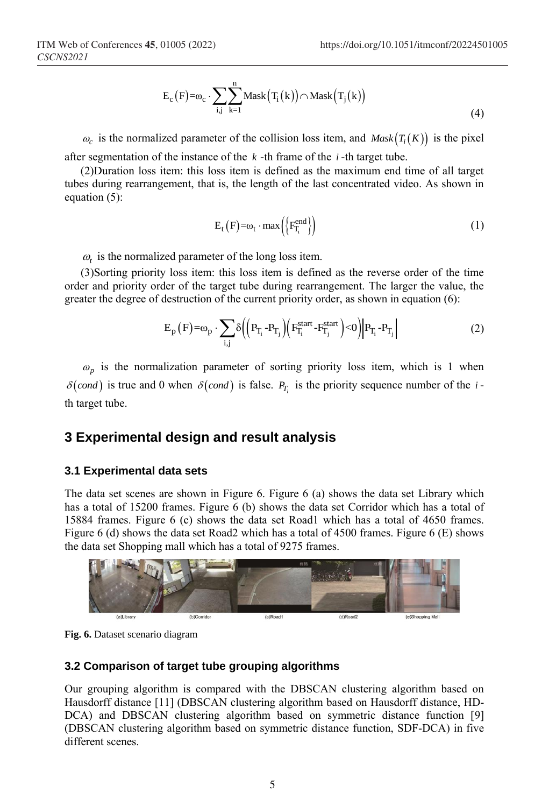$$
E_c(F) = \omega_c \cdot \sum_{i,j} \sum_{k=1}^n \text{Mask}\big(T_i(k)\big) \cap \text{Mask}\big(T_j(k)\big) \tag{4}
$$

 $\omega_c$  is the normalized parameter of the collision loss item, and *Mask*  $(T_i(K))$  is the pixel after segmentation of the instance of the *k* -th frame of the *i* -th target tube.

(2)Duration loss item: this loss item is defined as the maximum end time of all target tubes during rearrangement, that is, the length of the last concentrated video. As shown in equation (5):

$$
E_t(F) = \omega_t \cdot \max\left(\left\{F_{T_i}^{\text{end}}\right\}\right) \tag{1}
$$

 $\omega_t$  is the normalized parameter of the long loss item.

(3)Sorting priority loss item: this loss item is defined as the reverse order of the time order and priority order of the target tube during rearrangement. The larger the value, the greater the degree of destruction of the current priority order, as shown in equation (6):

$$
E_p(F) = \omega_p \cdot \sum_{i,j} \delta \Big( \Big( P_{T_i} - P_{T_j} \Big) \Big( F_{T_i}^{start} - F_{T_j}^{start} \Big) < 0 \Big) \Big| P_{T_i} - P_{T_j} \Big|
$$
 (2)

 $\varphi_p$  is the normalization parameter of sorting priority loss item, which is 1 when  $\delta(cond)$  is true and 0 when  $\delta(cond)$  is false.  $P_{T_i}$  is the priority sequence number of the *i*th target tube.

# **3 Experimental design and result analysis**

### **3.1 Experimental data sets**

The data set scenes are shown in Figure 6. Figure 6 (a) shows the data set Library which has a total of 15200 frames. Figure 6 (b) shows the data set Corridor which has a total of 15884 frames. Figure 6 (c) shows the data set Road1 which has a total of 4650 frames. Figure 6 (d) shows the data set Road2 which has a total of 4500 frames. Figure 6 (E) shows the data set Shopping mall which has a total of 9275 frames.





### **3.2 Comparison of target tube grouping algorithms**

Our grouping algorithm is compared with the DBSCAN clustering algorithm based on Hausdorff distance [11] (DBSCAN clustering algorithm based on Hausdorff distance, HD-DCA) and DBSCAN clustering algorithm based on symmetric distance function [9] (DBSCAN clustering algorithm based on symmetric distance function, SDF-DCA) in five different scenes.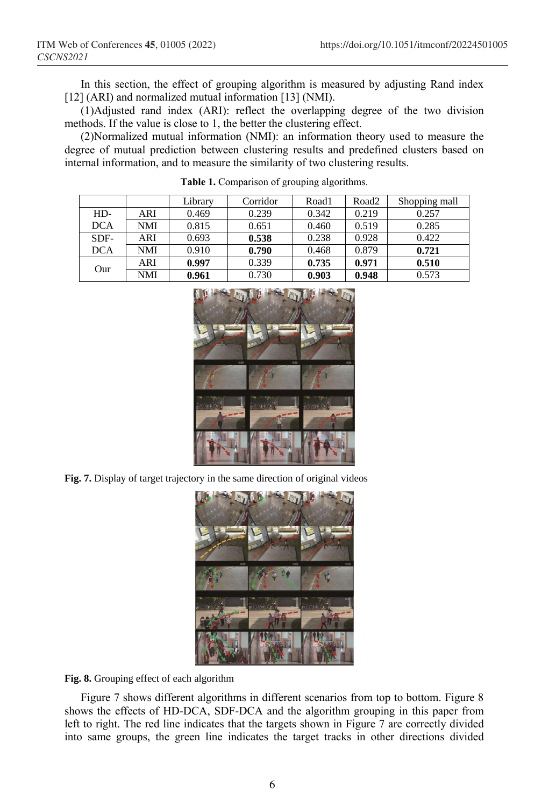In this section, the effect of grouping algorithm is measured by adjusting Rand index [12] (ARI) and normalized mutual information [13] (NMI).

(1)Adjusted rand index (ARI): reflect the overlapping degree of the two division methods. If the value is close to 1, the better the clustering effect.

(2)Normalized mutual information (NMI): an information theory used to measure the degree of mutual prediction between clustering results and predefined clusters based on internal information, and to measure the similarity of two clustering results.

|            |     | Library | Corridor | Road1 | Road <sub>2</sub> | Shopping mall |
|------------|-----|---------|----------|-------|-------------------|---------------|
| $HD-$      | ARI | 0.469   | 0.239    | 0.342 | 0.219             | 0.257         |
| DCA        | NMI | 0.815   | 0.651    | 0.460 | 0.519             | 0.285         |
| SDF-       | ARI | 0.693   | 0.538    | 0.238 | 0.928             | 0.422         |
| <b>DCA</b> | NMI | 0.910   | 0.790    | 0.468 | 0.879             | 0.721         |
| Our        | ARI | 0.997   | 0.339    | 0.735 | 0.971             | 0.510         |
|            | NMI | 0.961   | 0.730    | 0.903 | 0.948             | 0.573         |

**Table 1.** Comparison of grouping algorithms.



**Fig. 7.** Display of target trajectory in the same direction of original videos



**Fig. 8.** Grouping effect of each algorithm

Figure 7 shows different algorithms in different scenarios from top to bottom. Figure 8 shows the effects of HD-DCA, SDF-DCA and the algorithm grouping in this paper from left to right. The red line indicates that the targets shown in Figure 7 are correctly divided into same groups, the green line indicates the target tracks in other directions divided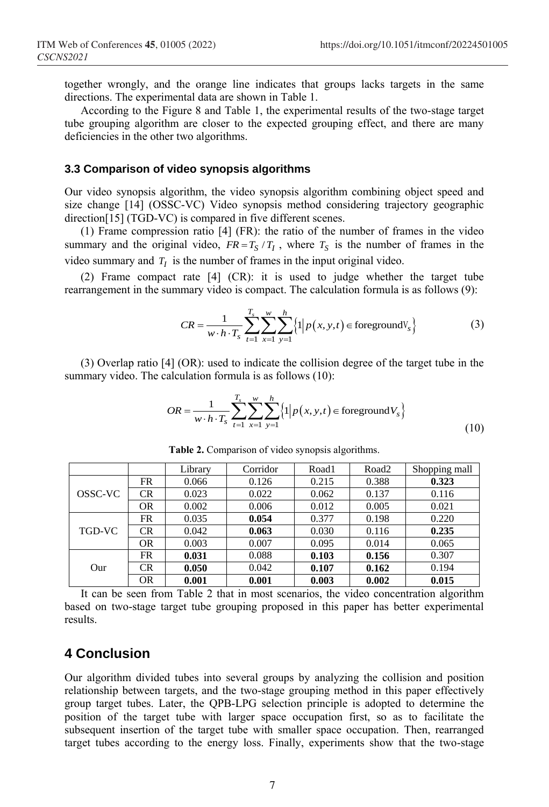together wrongly, and the orange line indicates that groups lacks targets in the same directions. The experimental data are shown in Table 1.

According to the Figure 8 and Table 1, the experimental results of the two-stage target tube grouping algorithm are closer to the expected grouping effect, and there are many deficiencies in the other two algorithms.

### **3.3 Comparison of video synopsis algorithms**

Our video synopsis algorithm, the video synopsis algorithm combining object speed and size change [14] (OSSC-VC) Video synopsis method considering trajectory geographic direction<sup>[15]</sup> (TGD-VC) is compared in five different scenes.

(1) Frame compression ratio [4] (FR): the ratio of the number of frames in the video summary and the original video,  $FR = T_S / T_I$ , where  $T_S$  is the number of frames in the video summary and  $T_I$  is the number of frames in the input original video.

(2) Frame compact rate [4] (CR): it is used to judge whether the target tube rearrangement in the summary video is compact. The calculation formula is as follows (9):

$$
CR = \frac{1}{w \cdot h \cdot T_s} \sum_{t=1}^{T_s} \sum_{x=1}^{w} \sum_{y=1}^{h} \{1 | p(x, y, t) \in \text{foregroundV}_s \}
$$
(3)

(3) Overlap ratio [4] (OR): used to indicate the collision degree of the target tube in the summary video. The calculation formula is as follows (10):

$$
OR = \frac{1}{w \cdot h \cdot T_s} \sum_{t=1}^{T_s} \sum_{x=1}^{w} \sum_{y=1}^{h} \{1 | p(x, y, t) \in \text{foreground } V_s \}
$$
(10)

|         |           | Library | Corridor | Road1 | Road2 | Shopping mall |
|---------|-----------|---------|----------|-------|-------|---------------|
| OSSC-VC | <b>FR</b> | 0.066   | 0.126    | 0.215 | 0.388 | 0.323         |
|         | <b>CR</b> | 0.023   | 0.022    | 0.062 | 0.137 | 0.116         |
|         | <b>OR</b> | 0.002   | 0.006    | 0.012 | 0.005 | 0.021         |
| TGD-VC  | FR        | 0.035   | 0.054    | 0.377 | 0.198 | 0.220         |
|         | <b>CR</b> | 0.042   | 0.063    | 0.030 | 0.116 | 0.235         |
|         | <b>OR</b> | 0.003   | 0.007    | 0.095 | 0.014 | 0.065         |
| Our     | FR.       | 0.031   | 0.088    | 0.103 | 0.156 | 0.307         |
|         | CR.       | 0.050   | 0.042    | 0.107 | 0.162 | 0.194         |
|         | <b>OR</b> | 0.001   | 0.001    | 0.003 | 0.002 | 0.015         |

**Table 2.** Comparison of video synopsis algorithms.

It can be seen from Table 2 that in most scenarios, the video concentration algorithm based on two-stage target tube grouping proposed in this paper has better experimental results.

## **4 Conclusion**

Our algorithm divided tubes into several groups by analyzing the collision and position relationship between targets, and the two-stage grouping method in this paper effectively group target tubes. Later, the QPB-LPG selection principle is adopted to determine the position of the target tube with larger space occupation first, so as to facilitate the subsequent insertion of the target tube with smaller space occupation. Then, rearranged target tubes according to the energy loss. Finally, experiments show that the two-stage